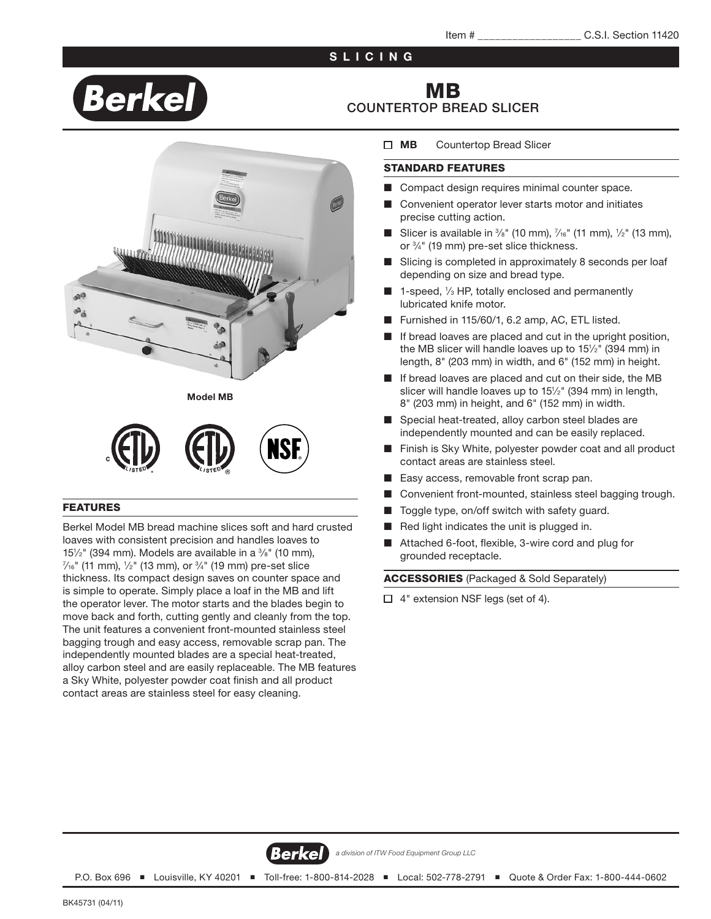### SLICING

# Berkel

## MB COUNTERTOP BREAD SLICER





#### FEATURES

Berkel Model MB bread machine slices soft and hard crusted loaves with consistent precision and handles loaves to 15½" (394 mm). Models are available in a ¾" (10 mm),<br>¼:" (11 mm), ¼" (13 mm), or ¾" (19 mm), pre-set slice  $\frac{\lambda_{6}''}{\lambda_{6}''}$  (11 mm),  $\frac{1}{2}''$  (13 mm), or  $\frac{3}{4}''$  (19 mm) pre-set slice thickness. Its compact design saves on counter space and is simple to operate. Simply place a loaf in the MB and lift the operator lever. The motor starts and the blades begin to move back and forth, cutting gently and cleanly from the top. The unit features a convenient front-mounted stainless steel bagging trough and easy access, removable scrap pan. The independently mounted blades are a special heat-treated, alloy carbon steel and are easily replaceable. The MB features a Sky White, polyester powder coat finish and all product contact areas are stainless steel for easy cleaning.

#### **MB** Countertop Bread Slicer

#### STANDARD FEATURES

- Compact design requires minimal counter space.
- Convenient operator lever starts motor and initiates precise cutting action.
- Slicer is available in  $\frac{3}{8}$ " (10 mm),  $\frac{7}{16}$ " (11 mm),  $\frac{1}{2}$ " (13 mm), or 3 ⁄4" (19 mm) pre-set slice thickness.
- Slicing is completed in approximately 8 seconds per loaf depending on size and bread type.
- 1-speed, 1/3 HP, totally enclosed and permanently lubricated knife motor.
- Furnished in 115/60/1, 6.2 amp, AC, ETL listed.
- If bread loaves are placed and cut in the upright position, the MB slicer will handle loaves up to 151 ⁄2" (394 mm) in length, 8" (203 mm) in width, and 6" (152 mm) in height.
- If bread loaves are placed and cut on their side, the MB slicer will handle loaves up to 15<sup>1</sup>/<sub>2</sub>" (394 mm) in length, 8" (203 mm) in height, and 6" (152 mm) in width.
- Special heat-treated, alloy carbon steel blades are independently mounted and can be easily replaced.
- Finish is Sky White, polyester powder coat and all product contact areas are stainless steel.
- Easy access, removable front scrap pan.
- Convenient front-mounted, stainless steel bagging trough.
- Toggle type, on/off switch with safety guard.
- Red light indicates the unit is plugged in.
- Attached 6-foot, flexible, 3-wire cord and plug for grounded receptacle.

ACCESSORIES (Packaged & Sold Separately)

□ 4" extension NSF legs (set of 4).



*a division of ITW Food Equipment Group LLC*

P.O. Box 696 ■ Louisville, KY 40201 ■ Toll-free: 1-800-814-2028 ■ Local: 502-778-2791 ■ Quote & Order Fax: 1-800-444-0602